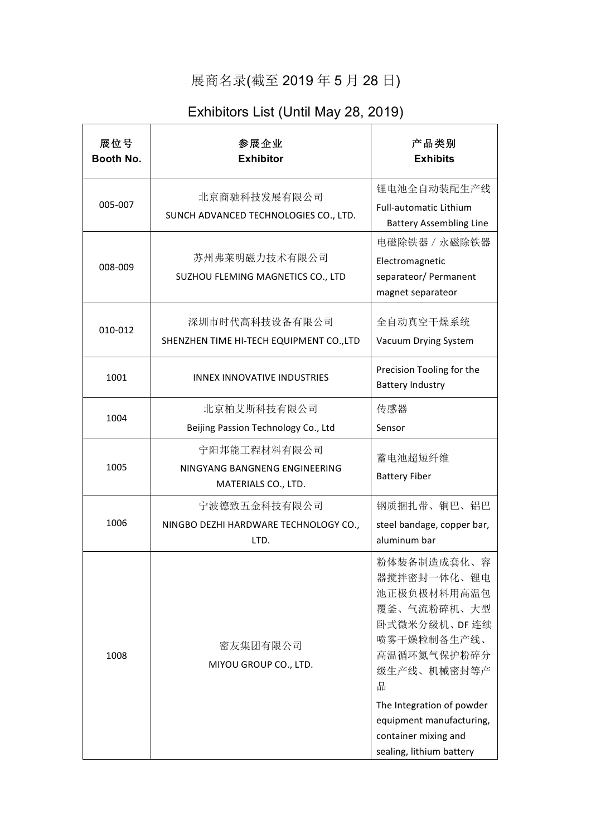## 展商名录(截至 2019 年 5 月 28 日)

## Exhibitors List (Until May 28, 2019)

| 展位号<br>Booth No. | 参展企业<br><b>Exhibitor</b>                                             | 产品类别<br><b>Exhibits</b>                                                                                                                                                                                                                  |
|------------------|----------------------------------------------------------------------|------------------------------------------------------------------------------------------------------------------------------------------------------------------------------------------------------------------------------------------|
| 005-007          | 北京商驰科技发展有限公司<br>SUNCH ADVANCED TECHNOLOGIES CO., LTD.                | 锂电池全自动装配生产线<br><b>Full-automatic Lithium</b><br><b>Battery Assembling Line</b>                                                                                                                                                           |
| 008-009          | 苏州弗莱明磁力技术有限公司<br>SUZHOU FLEMING MAGNETICS CO., LTD                   | 电磁除铁器 / 永磁除铁器<br>Electromagnetic<br>separateor/ Permanent<br>magnet separateor                                                                                                                                                           |
| 010-012          | 深圳市时代高科技设备有限公司<br>SHENZHEN TIME HI-TECH EQUIPMENT CO., LTD           | 全自动真空干燥系统<br>Vacuum Drying System                                                                                                                                                                                                        |
| 1001             | <b>INNEX INNOVATIVE INDUSTRIES</b>                                   | Precision Tooling for the<br><b>Battery Industry</b>                                                                                                                                                                                     |
| 1004             | 北京柏艾斯科技有限公司<br>Beijing Passion Technology Co., Ltd                   | 传感器<br>Sensor                                                                                                                                                                                                                            |
| 1005             | 宁阳邦能工程材料有限公司<br>NINGYANG BANGNENG ENGINEERING<br>MATERIALS CO., LTD. | 蓄电池超短纤维<br><b>Battery Fiber</b>                                                                                                                                                                                                          |
| 1006             | 宁波德致五金科技有限公司<br>NINGBO DEZHI HARDWARE TECHNOLOGY CO.,<br>LTD.        | 钢质捆扎带、铜巴、铝巴<br>steel bandage, copper bar,<br>aluminum bar                                                                                                                                                                                |
| 1008             | 密友集团有限公司<br>MIYOU GROUP CO., LTD.                                    | 粉体装备制造成套化、容<br>器搅拌密封一体化、锂电<br>池正极负极材料用高温包<br>覆釜、气流粉碎机、大型<br>卧式微米分级机、DF 连续<br>喷雾干燥粒制备生产线、<br>高温循环氮气保护粉碎分<br>级生产线、机械密封等产<br>品<br>The Integration of powder<br>equipment manufacturing,<br>container mixing and<br>sealing, lithium battery |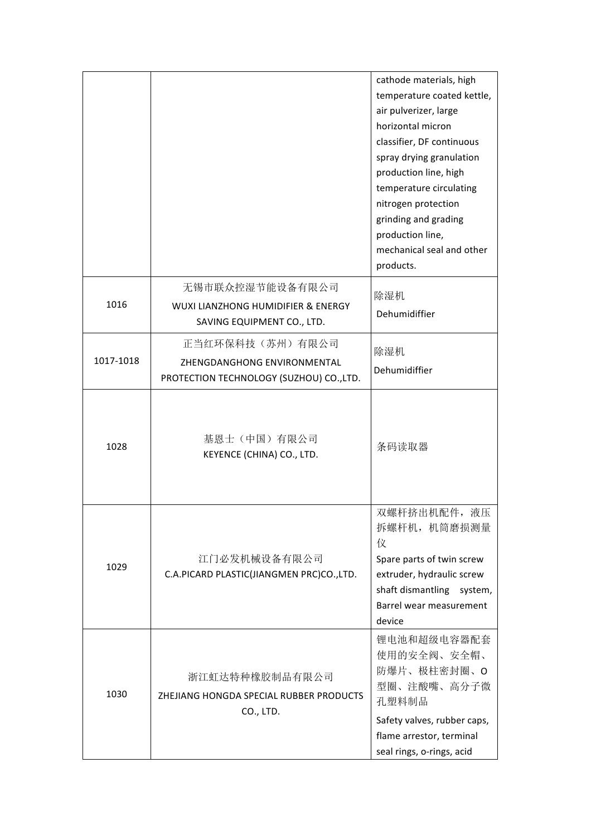|           |                                                                                            | cathode materials, high<br>temperature coated kettle,<br>air pulverizer, large<br>horizontal micron<br>classifier, DF continuous<br>spray drying granulation<br>production line, high<br>temperature circulating<br>nitrogen protection<br>grinding and grading<br>production line,<br>mechanical seal and other<br>products. |
|-----------|--------------------------------------------------------------------------------------------|-------------------------------------------------------------------------------------------------------------------------------------------------------------------------------------------------------------------------------------------------------------------------------------------------------------------------------|
| 1016      | 无锡市联众控湿节能设备有限公司<br>WUXI LIANZHONG HUMIDIFIER & ENERGY<br>SAVING EQUIPMENT CO., LTD.        | 除湿机<br>Dehumidiffier                                                                                                                                                                                                                                                                                                          |
| 1017-1018 | 正当红环保科技(苏州)有限公司<br>ZHENGDANGHONG ENVIRONMENTAL<br>PROTECTION TECHNOLOGY (SUZHOU) CO., LTD. | 除湿机<br>Dehumidiffier                                                                                                                                                                                                                                                                                                          |
| 1028      | 基恩士(中国)有限公司<br>KEYENCE (CHINA) CO., LTD.                                                   | 条码读取器                                                                                                                                                                                                                                                                                                                         |
| 1029      | 江门必发机械设备有限公司<br>C.A.PICARD PLASTIC(JIANGMEN PRC)CO.,LTD.                                   | 双螺杆挤出机配件,液压<br>拆螺杆机, 机筒磨损测量<br>仪<br>Spare parts of twin screw<br>extruder, hydraulic screw<br>shaft dismantling<br>system,<br>Barrel wear measurement<br>device                                                                                                                                                               |
| 1030      | 浙江虹达特种橡胶制品有限公司<br>ZHEJIANG HONGDA SPECIAL RUBBER PRODUCTS<br>CO., LTD.                     | 锂电池和超级电容器配套<br>使用的安全阀、安全帽、<br>防爆片、极柱密封圈、O<br>型圈、注酸嘴、高分子微<br>孔塑料制品<br>Safety valves, rubber caps,<br>flame arrestor, terminal<br>seal rings, o-rings, acid                                                                                                                                                                     |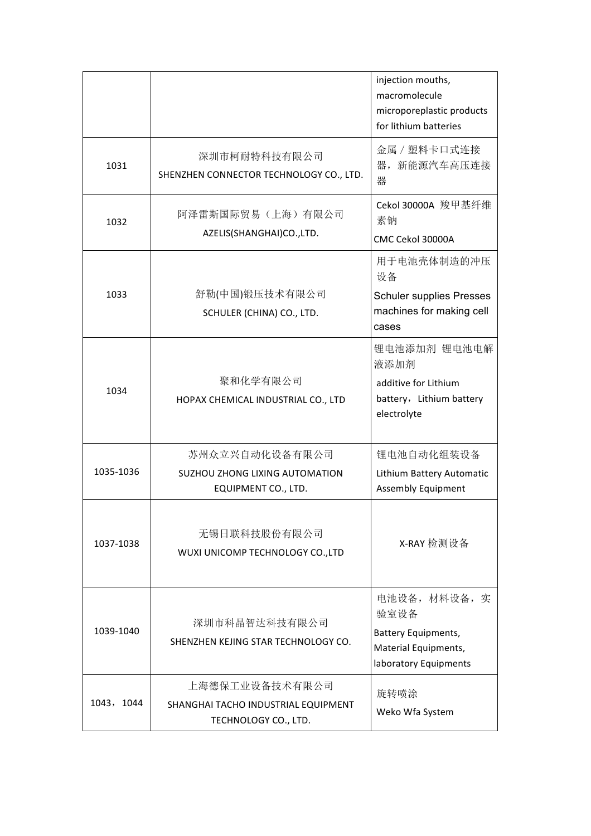|            |                                                                                | injection mouths,<br>macromolecule<br>microporeplastic products<br>for lithium batteries             |
|------------|--------------------------------------------------------------------------------|------------------------------------------------------------------------------------------------------|
| 1031       | 深圳市柯耐特科技有限公司<br>SHENZHEN CONNECTOR TECHNOLOGY CO., LTD.                        | 金属 / 塑料卡口式连接<br>器, 新能源汽车高压连接<br>器                                                                    |
| 1032       | 阿泽雷斯国际贸易(上海)有限公司<br>AZELIS(SHANGHAI)CO.,LTD.                                   | Cekol 30000A 羧甲基纤维<br>素钠<br>CMC Cekol 30000A                                                         |
| 1033       | 舒勒(中国)锻压技术有限公司<br>SCHULER (CHINA) CO., LTD.                                    | 用于电池壳体制造的冲压<br>设备<br><b>Schuler supplies Presses</b><br>machines for making cell<br>cases            |
| 1034       | 聚和化学有限公司<br>HOPAX CHEMICAL INDUSTRIAL CO., LTD                                 | 锂电池添加剂 锂电池电解<br>液添加剂<br>additive for Lithium<br>battery, Lithium battery<br>electrolyte              |
| 1035-1036  | 苏州众立兴自动化设备有限公司<br><b>SUZHOU ZHONG LIXING AUTOMATION</b><br>EQUIPMENT CO., LTD. | 锂电池自动化组装设备<br>Lithium Battery Automatic<br><b>Assembly Equipment</b>                                 |
| 1037-1038  | 无锡日联科技股份有限公司<br>WUXI UNICOMP TECHNOLOGY CO., LTD                               | X-RAY 检测设备                                                                                           |
| 1039-1040  | 深圳市科晶智达科技有限公司<br>SHENZHEN KEJING STAR TECHNOLOGY CO.                           | 电池设备, 材料设备, 实<br>验室设备<br><b>Battery Equipments,</b><br>Material Equipments,<br>laboratory Equipments |
| 1043, 1044 | 上海德保工业设备技术有限公司<br>SHANGHAI TACHO INDUSTRIAL EQUIPMENT<br>TECHNOLOGY CO., LTD.  | 旋转喷涂<br>Weko Wfa System                                                                              |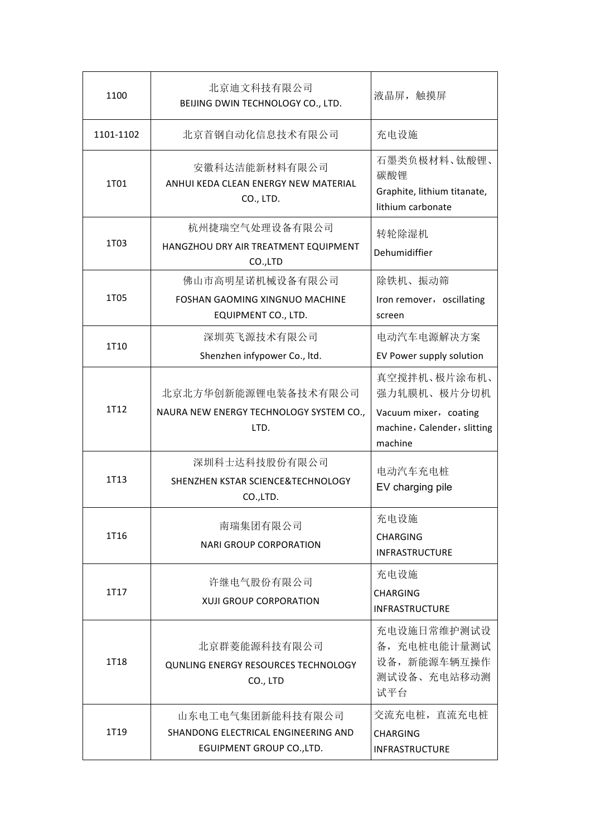| 1100      | 北京迪文科技有限公司<br>BEIJING DWIN TECHNOLOGY CO., LTD.                                      | 液晶屏, 触摸屏                                                                                       |  |
|-----------|--------------------------------------------------------------------------------------|------------------------------------------------------------------------------------------------|--|
| 1101-1102 | 北京首钢自动化信息技术有限公司                                                                      | 充电设施                                                                                           |  |
| 1T01      | 安徽科达洁能新材料有限公司<br>ANHUI KEDA CLEAN ENERGY NEW MATERIAL<br>CO., LTD.                   | 石墨类负极材料、钛酸锂、<br>碳酸锂<br>Graphite, lithium titanate,<br>lithium carbonate                        |  |
| 1T03      | 杭州捷瑞空气处理设备有限公司<br>HANGZHOU DRY AIR TREATMENT EQUIPMENT<br>CO.,LTD                    | 转轮除湿机<br>Dehumidiffier                                                                         |  |
| 1T05      | 佛山市高明星诺机械设备有限公司<br>FOSHAN GAOMING XINGNUO MACHINE<br>EQUIPMENT CO., LTD.             | 除铁机、振动筛<br>Iron remover, oscillating<br>screen                                                 |  |
| 1T10      | 深圳英飞源技术有限公司<br>Shenzhen infypower Co., ltd.                                          | 电动汽车电源解决方案<br>EV Power supply solution                                                         |  |
| 1T12      | 北京北方华创新能源锂电装备技术有限公司<br>NAURA NEW ENERGY TECHNOLOGY SYSTEM CO.,<br>LTD.               | 真空搅拌机、极片涂布机、<br>强力轧膜机、极片分切机<br>Vacuum mixer, coating<br>machine, Calender, slitting<br>machine |  |
| 1T13      | 深圳科士达科技股份有限公司<br>SHENZHEN KSTAR SCIENCE&TECHNOLOGY<br>CO.,LTD.                       | 电动汽车充电桩<br>EV charging pile                                                                    |  |
| 1T16      | 南瑞集团有限公司<br><b>NARI GROUP CORPORATION</b>                                            | 充电设施<br>CHARGING<br><b>INFRASTRUCTURE</b>                                                      |  |
| 1T17      | 许继电气股份有限公司<br><b>XUJI GROUP CORPORATION</b>                                          | 充电设施<br>CHARGING<br><b>INFRASTRUCTURE</b>                                                      |  |
| 1T18      | 北京群菱能源科技有限公司<br>QUNLING ENERGY RESOURCES TECHNOLOGY<br>CO., LTD                      | 充电设施日常维护测试设<br>备,充电桩电能计量测试<br>设备, 新能源车辆互操作<br>测试设备、充电站移动测<br>试平台                               |  |
| 1T19      | 山东电工电气集团新能科技有限公司<br>SHANDONG ELECTRICAL ENGINEERING AND<br>EGUIPMENT GROUP CO., LTD. | 交流充电桩, 直流充电桩<br><b>CHARGING</b><br><b>INFRASTRUCTURE</b>                                       |  |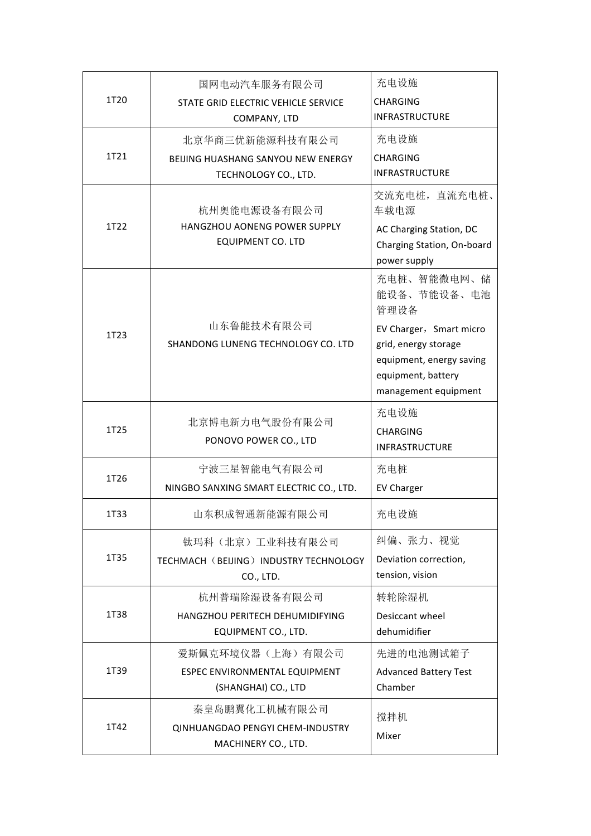|      | 国网电动汽车服务有限公司                                                                    | 充电设施                                                                                                                      |
|------|---------------------------------------------------------------------------------|---------------------------------------------------------------------------------------------------------------------------|
| 1T20 | STATE GRID ELECTRIC VEHICLE SERVICE<br>COMPANY, LTD                             | <b>CHARGING</b><br><b>INFRASTRUCTURE</b>                                                                                  |
|      | 北京华商三优新能源科技有限公司                                                                 | 充电设施                                                                                                                      |
| 1T21 | BEIJING HUASHANG SANYOU NEW ENERGY<br>TECHNOLOGY CO., LTD.                      | <b>CHARGING</b><br><b>INFRASTRUCTURE</b>                                                                                  |
|      | 杭州奥能电源设备有限公司                                                                    | 交流充电桩, 直流充电桩、<br>车载电源                                                                                                     |
| 1T22 | HANGZHOU AONENG POWER SUPPLY<br><b>EQUIPMENT CO. LTD</b>                        | AC Charging Station, DC<br>Charging Station, On-board<br>power supply                                                     |
|      |                                                                                 | 充电桩、智能微电网、储<br>能设备、节能设备、电池<br>管理设备                                                                                        |
| 1T23 | 山东鲁能技术有限公司<br>SHANDONG LUNENG TECHNOLOGY CO. LTD                                | EV Charger, Smart micro<br>grid, energy storage<br>equipment, energy saving<br>equipment, battery<br>management equipment |
| 1T25 | 北京博电新力电气股份有限公司<br>PONOVO POWER CO., LTD                                         | 充电设施<br><b>CHARGING</b><br><b>INFRASTRUCTURE</b>                                                                          |
| 1T26 | 宁波三星智能电气有限公司<br>NINGBO SANXING SMART ELECTRIC CO., LTD.                         | 充电桩<br><b>EV Charger</b>                                                                                                  |
| 1T33 | 山东积成智通新能源有限公司                                                                   | 充电设施                                                                                                                      |
| 1T35 | 钛玛科(北京)工业科技有限公司<br>TECHMACH (BEIJING) INDUSTRY TECHNOLOGY<br>CO., LTD.          | 纠偏、张力、视觉<br>Deviation correction,<br>tension, vision                                                                      |
| 1T38 | 杭州普瑞除湿设备有限公司<br>HANGZHOU PERITECH DEHUMIDIFYING<br>EQUIPMENT CO., LTD.          | 转轮除湿机<br>Desiccant wheel<br>dehumidifier                                                                                  |
| 1T39 | 爱斯佩克环境仪器(上海)有限公司<br>ESPEC ENVIRONMENTAL EQUIPMENT<br>(SHANGHAI) CO., LTD        | 先进的电池测试箱子<br><b>Advanced Battery Test</b><br>Chamber                                                                      |
| 1T42 | 秦皇岛鹏翼化工机械有限公司<br><b>QINHUANGDAO PENGYI CHEM-INDUSTRY</b><br>MACHINERY CO., LTD. | 搅拌机<br>Mixer                                                                                                              |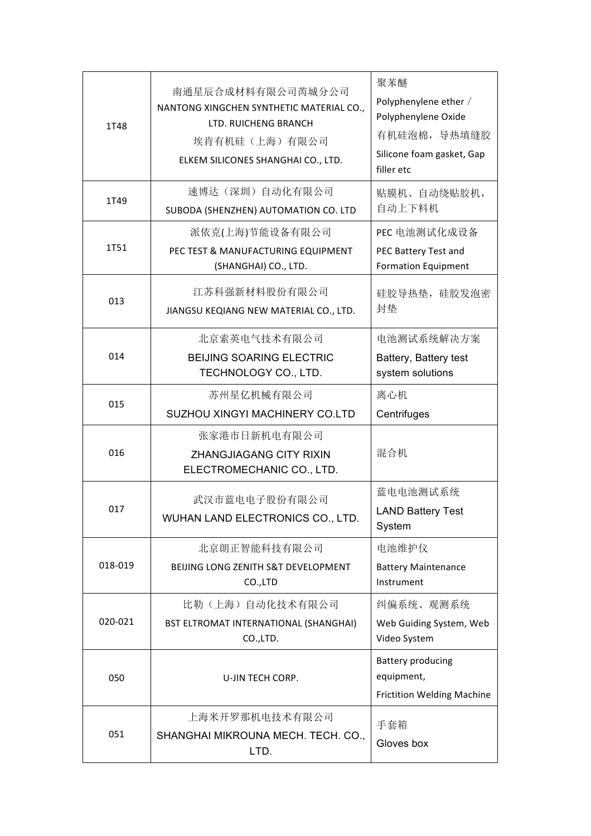| 1T48    | 南通星辰合成材料有限公司芮城分公司<br>NANTONG XINGCHEN SYNTHETIC MATERIAL CO.,<br>LTD. RUICHENG BRANCH<br>埃肯有机硅(上海)有限公司<br>ELKEM SILICONES SHANGHAI CO., LTD. | 聚苯醚<br>Polyphenylene ether /<br>Polyphenylene Oxide<br>有机硅泡棉, 导热填缝胶<br>Silicone foam gasket, Gap<br>filler etc |  |
|---------|----------------------------------------------------------------------------------------------------------------------------------------------|----------------------------------------------------------------------------------------------------------------|--|
| 1T49    | 速博达(深圳)自动化有限公司<br>SUBODA (SHENZHEN) AUTOMATION CO. LTD                                                                                       | 贴膜机、自动绕贴胶机,<br>自动上下料机                                                                                          |  |
| 1T51    | 派依克(上海)节能设备有限公司<br>PEC TEST & MANUFACTURING EQUIPMENT<br>(SHANGHAI) CO., LTD.                                                                | PEC 电池测试化成设备<br>PEC Battery Test and<br><b>Formation Equipment</b>                                             |  |
| 013     | 江苏科强新材料股份有限公司<br>JIANGSU KEQIANG NEW MATERIAL CO., LTD.                                                                                      | 硅胶导热垫, 硅胶发泡密<br>封垫                                                                                             |  |
| 014     | 北京索英电气技术有限公司<br><b>BEIJING SOARING ELECTRIC</b><br>TECHNOLOGY CO., LTD.                                                                      | 电池测试系统解决方案<br>Battery, Battery test<br>system solutions                                                        |  |
| 015     | 苏州星亿机械有限公司<br>SUZHOU XINGYI MACHINERY CO.LTD                                                                                                 | 离心机<br>Centrifuges                                                                                             |  |
| 016     | 张家港市日新机电有限公司<br>ZHANGJIAGANG CITY RIXIN<br>ELECTROMECHANIC CO., LTD.                                                                         | 混合机                                                                                                            |  |
| 017     | 武汉市蓝电电子股份有限公司<br>WUHAN LAND ELECTRONICS CO., LTD.                                                                                            | 蓝电电池测试系统<br><b>LAND Battery Test</b><br>System                                                                 |  |
| 018-019 | 北京朗正智能科技有限公司<br>BEIJING LONG ZENITH S&T DEVELOPMENT<br>CO.,LTD                                                                               | 电池维护仪<br><b>Battery Maintenance</b><br>Instrument                                                              |  |
| 020-021 | 比勒(上海)自动化技术有限公司<br>BST ELTROMAT INTERNATIONAL (SHANGHAI)<br>CO., LTD.                                                                        | 纠偏系统、观测系统<br>Web Guiding System, Web<br>Video System                                                           |  |
| 050     | U-JIN TECH CORP.                                                                                                                             | <b>Battery producing</b><br>equipment,<br>Frictition Welding Machine                                           |  |
| 051     | 上海米开罗那机电技术有限公司<br>SHANGHAI MIKROUNA MECH. TECH. CO.,<br>LTD.                                                                                 | 手套箱<br>Gloves box                                                                                              |  |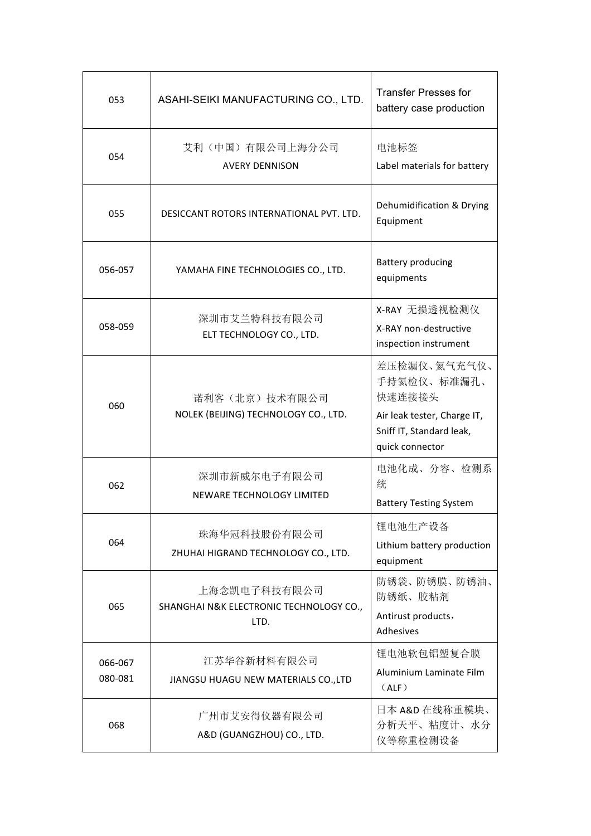| 053                | ASAHI-SEIKI MANUFACTURING CO., LTD.                             | <b>Transfer Presses for</b><br>battery case production                     |
|--------------------|-----------------------------------------------------------------|----------------------------------------------------------------------------|
| 054                | 艾利 (中国) 有限公司上海分公司<br><b>AVERY DENNISON</b>                      | 电池标签<br>Label materials for battery                                        |
| 055                | DESICCANT ROTORS INTERNATIONAL PVT. LTD.                        | Dehumidification & Drying<br>Equipment                                     |
| 056-057            | YAMAHA FINE TECHNOLOGIES CO., LTD.                              | <b>Battery producing</b><br>equipments                                     |
| 058-059            | 深圳市艾兰特科技有限公司<br>ELT TECHNOLOGY CO., LTD.                        | X-RAY 无损透视检测仪<br>X-RAY non-destructive<br>inspection instrument            |
| 060                | 诺利客(北京)技术有限公司<br>NOLEK (BEIJING) TECHNOLOGY CO., LTD.           | 差压检漏仪、氦气充气仪、<br>手持氦检仪、标准漏孔、<br>快速连接接头                                      |
|                    |                                                                 | Air leak tester, Charge IT,<br>Sniff IT, Standard leak,<br>quick connector |
| 062                | 深圳市新威尔电子有限公司<br>NEWARE TECHNOLOGY LIMITED                       | 电池化成、分容、检测系<br>统<br><b>Battery Testing System</b>                          |
| 064                | 珠海华冠科技股份有限公司<br>ZHUHAI HIGRAND TECHNOLOGY CO., LTD.             | 锂电池生产设备<br>Lithium battery production<br>equipment                         |
| 065                | 上海念凯电子科技有限公司<br>SHANGHAI N&K ELECTRONIC TECHNOLOGY CO.,<br>LTD. | 防锈袋、防锈膜、防锈油、<br>防锈纸、胶粘剂<br>Antirust products,<br>Adhesives                 |
| 066-067<br>080-081 | 江苏华谷新材料有限公司<br>JIANGSU HUAGU NEW MATERIALS CO., LTD             | 锂电池软包铝塑复合膜<br>Aluminium Laminate Film<br>(ALF)                             |
| 068                | 广州市艾安得仪器有限公司<br>A&D (GUANGZHOU) CO., LTD.                       | 日本 A&D 在线称重模块、<br>分析天平、粘度计、水分<br>仪等称重检测设备                                  |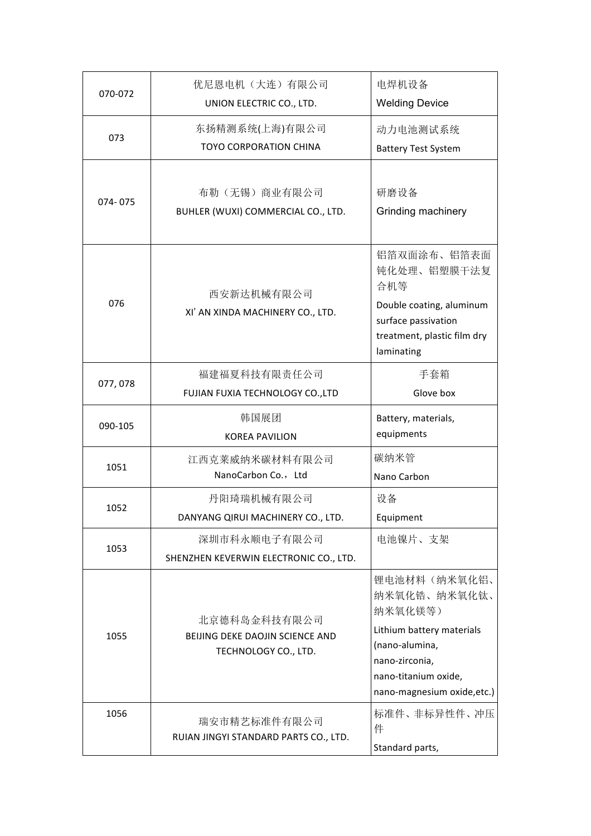| 070-072 | 优尼恩电机 (大连) 有限公司<br>UNION ELECTRIC CO., LTD.                             | 电焊机设备<br><b>Welding Device</b>                                                                                                                                  |
|---------|-------------------------------------------------------------------------|-----------------------------------------------------------------------------------------------------------------------------------------------------------------|
| 073     | 东扬精测系统(上海)有限公司<br><b>TOYO CORPORATION CHINA</b>                         | 动力电池测试系统<br><b>Battery Test System</b>                                                                                                                          |
| 074-075 | 布勒 (无锡) 商业有限公司<br>BUHLER (WUXI) COMMERCIAL CO., LTD.                    | 研磨设备<br>Grinding machinery                                                                                                                                      |
| 076     | 西安新达机械有限公司<br>XI' AN XINDA MACHINERY CO., LTD.                          | 铝箔双面涂布、铝箔表面<br>钝化处理、铝塑膜干法复<br>合机等<br>Double coating, aluminum<br>surface passivation<br>treatment, plastic film dry<br>laminating                               |
| 077,078 | 福建福夏科技有限责任公司<br>FUJIAN FUXIA TECHNOLOGY CO., LTD                        | 手套箱<br>Glove box                                                                                                                                                |
| 090-105 | 韩国展团<br><b>KOREA PAVILION</b>                                           | Battery, materials,<br>equipments                                                                                                                               |
| 1051    | 江西克莱威纳米碳材料有限公司<br>NanoCarbon Co., Ltd                                   | 碳纳米管<br>Nano Carbon                                                                                                                                             |
| 1052    | 丹阳琦瑞机械有限公司<br>DANYANG QIRUI MACHINERY CO., LTD.                         | 设备<br>Equipment                                                                                                                                                 |
| 1053    | 深圳市科永顺电子有限公司<br>SHENZHEN KEVERWIN ELECTRONIC CO., LTD.                  | 电池镍片、支架                                                                                                                                                         |
| 1055    | 北京德科岛金科技有限公司<br>BEIJING DEKE DAOJIN SCIENCE AND<br>TECHNOLOGY CO., LTD. | 锂电池材料(纳米氧化铝、<br>纳米氧化锆、纳米氧化钛、<br>纳米氧化镁等)<br>Lithium battery materials<br>(nano-alumina,<br>nano-zirconia,<br>nano-titanium oxide,<br>nano-magnesium oxide, etc.) |
| 1056    | 瑞安市精艺标准件有限公司<br>RUIAN JINGYI STANDARD PARTS CO., LTD.                   | 标准件、非标异性件、冲压<br>件<br>Standard parts,                                                                                                                            |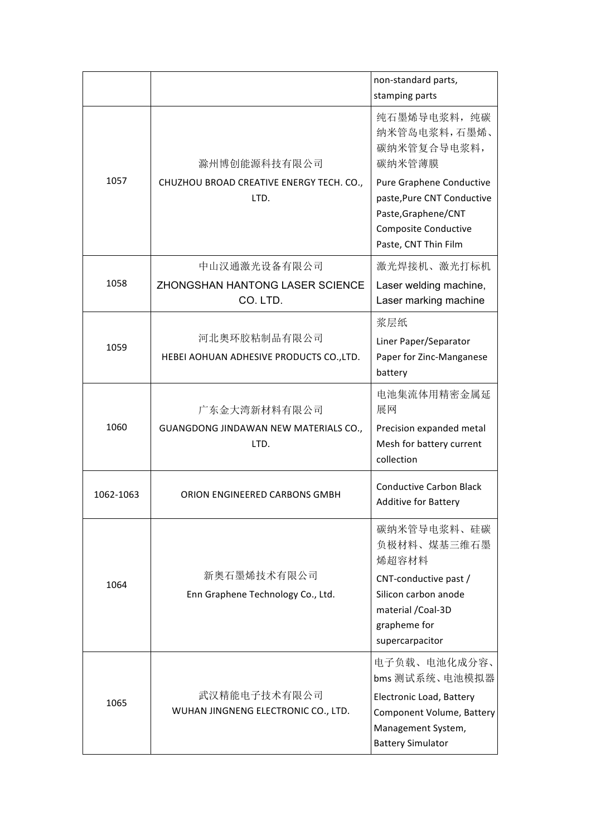|           |                                                                  | non-standard parts,<br>stamping parts                                                                                                                                                         |
|-----------|------------------------------------------------------------------|-----------------------------------------------------------------------------------------------------------------------------------------------------------------------------------------------|
| 1057      | 滁州博创能源科技有限公司<br>CHUZHOU BROAD CREATIVE ENERGY TECH. CO.,<br>LTD. | 纯石墨烯导电浆料, 纯碳<br>纳米管岛电浆料,石墨烯、<br>碳纳米管复合导电浆料,<br>碳纳米管薄膜<br>Pure Graphene Conductive<br>paste, Pure CNT Conductive<br>Paste, Graphene/CNT<br><b>Composite Conductive</b><br>Paste, CNT Thin Film |
| 1058      | 中山汉通激光设备有限公司<br>ZHONGSHAN HANTONG LASER SCIENCE<br>CO. LTD.      | 激光焊接机、激光打标机<br>Laser welding machine,<br>Laser marking machine                                                                                                                                |
| 1059      | 河北奥环胶粘制品有限公司<br>HEBEI AOHUAN ADHESIVE PRODUCTS CO., LTD.         | 浆层纸<br>Liner Paper/Separator<br>Paper for Zinc-Manganese<br>battery                                                                                                                           |
| 1060      | 广东金大湾新材料有限公司<br>GUANGDONG JINDAWAN NEW MATERIALS CO.,<br>LTD.    | 电池集流体用精密金属延<br>展网<br>Precision expanded metal<br>Mesh for battery current<br>collection                                                                                                       |
| 1062-1063 | ORION ENGINEERED CARBONS GMBH                                    | <b>Conductive Carbon Black</b><br><b>Additive for Battery</b>                                                                                                                                 |
| 1064      | 新奥石墨烯技术有限公司<br>Enn Graphene Technology Co., Ltd.                 | 碳纳米管导电浆料、硅碳<br>负极材料、煤基三维石墨<br>烯超容材料<br>CNT-conductive past /<br>Silicon carbon anode<br>material / Coal-3D<br>grapheme for<br>supercarpacitor                                                 |
| 1065      | 武汉精能电子技术有限公司<br>WUHAN JINGNENG ELECTRONIC CO., LTD.              | 电子负载、电池化成分容、<br>bms 测试系统、电池模拟器<br>Electronic Load, Battery<br>Component Volume, Battery<br>Management System,<br><b>Battery Simulator</b>                                                     |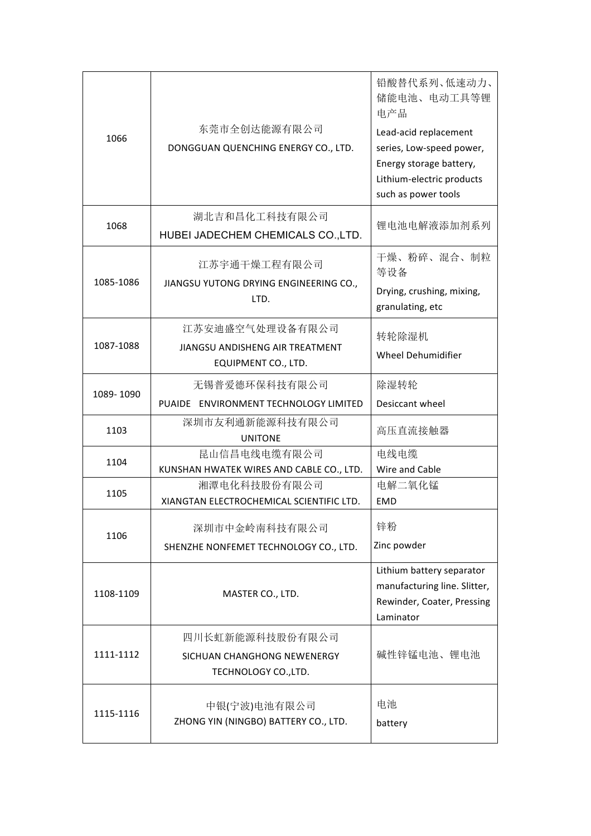| 1066      | 东莞市全创达能源有限公司<br>DONGGUAN QUENCHING ENERGY CO., LTD.                       | 铅酸替代系列、低速动力、<br>储能电池、电动工具等锂<br>电产品<br>Lead-acid replacement<br>series, Low-speed power,<br>Energy storage battery,<br>Lithium-electric products<br>such as power tools |
|-----------|---------------------------------------------------------------------------|------------------------------------------------------------------------------------------------------------------------------------------------------------------------|
| 1068      | 湖北吉和昌化工科技有限公司<br>HUBEI JADECHEM CHEMICALS CO., LTD.                       | 锂电池电解液添加剂系列                                                                                                                                                            |
| 1085-1086 | 江苏宇通干燥工程有限公司<br>JIANGSU YUTONG DRYING ENGINEERING CO.,<br>LTD.            | 干燥、粉碎、混合、制粒<br>等设备<br>Drying, crushing, mixing,<br>granulating, etc                                                                                                    |
| 1087-1088 | 江苏安迪盛空气处理设备有限公司<br>JIANGSU ANDISHENG AIR TREATMENT<br>EQUIPMENT CO., LTD. | 转轮除湿机<br><b>Wheel Dehumidifier</b>                                                                                                                                     |
| 1089-1090 | 无锡普爱德环保科技有限公司<br>PUAIDE ENVIRONMENT TECHNOLOGY LIMITED                    | 除湿转轮<br>Desiccant wheel                                                                                                                                                |
| 1103      | 深圳市友利通新能源科技有限公司<br><b>UNITONE</b>                                         | 高压直流接触器                                                                                                                                                                |
| 1104      | 昆山信昌电线电缆有限公司<br>KUNSHAN HWATEK WIRES AND CABLE CO., LTD.                  | 电线电缆<br>Wire and Cable                                                                                                                                                 |
| 1105      | 湘潭电化科技股份有限公司<br>XIANGTAN ELECTROCHEMICAL SCIENTIFIC LTD.                  | 电解二氧化锰<br><b>EMD</b>                                                                                                                                                   |
| 1106      | 深圳市中金岭南科技有限公司<br>SHENZHE NONFEMET TECHNOLOGY CO., LTD.                    | 锌粉<br>Zinc powder                                                                                                                                                      |
| 1108-1109 | MASTER CO., LTD.                                                          | Lithium battery separator<br>manufacturing line. Slitter,<br>Rewinder, Coater, Pressing<br>Laminator                                                                   |
| 1111-1112 | 四川长虹新能源科技股份有限公司<br>SICHUAN CHANGHONG NEWENERGY<br>TECHNOLOGY CO., LTD.    | 碱性锌锰电池、锂电池                                                                                                                                                             |
| 1115-1116 | 中银(宁波)电池有限公司<br>ZHONG YIN (NINGBO) BATTERY CO., LTD.                      | 电池<br>battery                                                                                                                                                          |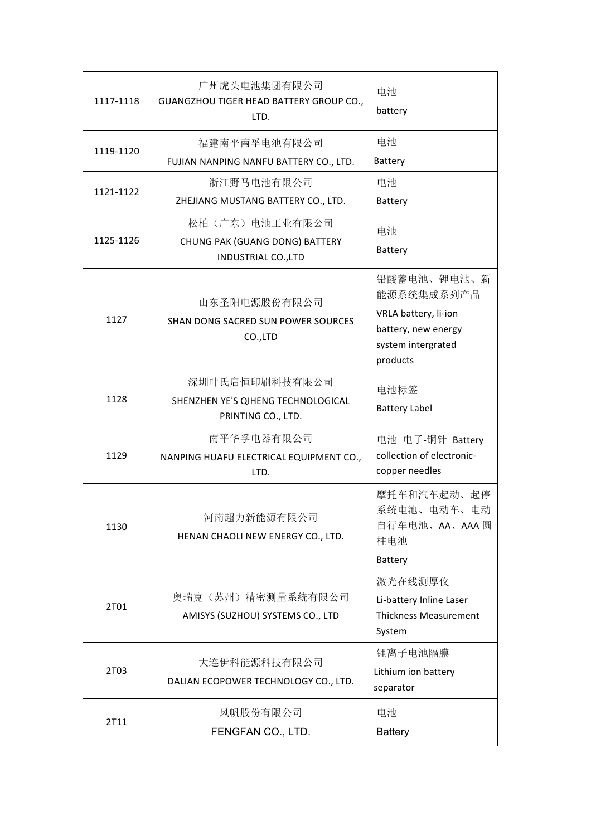| 1117-1118 | 广州虎头电池集团有限公司<br>GUANGZHOU TIGER HEAD BATTERY GROUP CO.,<br>LTD.                | 电池<br>battery                                                                                              |  |
|-----------|--------------------------------------------------------------------------------|------------------------------------------------------------------------------------------------------------|--|
| 1119-1120 | 福建南平南孚电池有限公司<br>FUJIAN NANPING NANFU BATTERY CO., LTD.                         | 电池<br>Battery                                                                                              |  |
| 1121-1122 | 浙江野马电池有限公司<br>ZHEJIANG MUSTANG BATTERY CO., LTD.                               | 电池<br><b>Battery</b>                                                                                       |  |
| 1125-1126 | 松柏(广东)电池工业有限公司<br>CHUNG PAK (GUANG DONG) BATTERY<br><b>INDUSTRIAL CO., LTD</b> | 电池<br><b>Battery</b>                                                                                       |  |
| 1127      | 山东圣阳电源股份有限公司<br>SHAN DONG SACRED SUN POWER SOURCES<br>CO.,LTD                  | 铅酸蓄电池、锂电池、新<br>能源系统集成系列产品<br>VRLA battery, li-ion<br>battery, new energy<br>system intergrated<br>products |  |
| 1128      | 深圳叶氏启恒印刷科技有限公司<br>SHENZHEN YE'S QIHENG TECHNOLOGICAL<br>PRINTING CO., LTD.     | 电池标签<br><b>Battery Label</b>                                                                               |  |
| 1129      | 南平华孚电器有限公司<br>NANPING HUAFU ELECTRICAL EQUIPMENT CO.,<br>LTD.                  | 电池 电子-铜针 Battery<br>collection of electronic-<br>copper needles                                            |  |
| 1130      | 河南超力新能源有限公司<br>HENAN CHAOLI NEW ENERGY CO., LTD.                               | 摩托车和汽车起动、起停<br>系统电池、电动车、电动<br>自行车电池、AA、AAA 圆<br>柱电池<br><b>Battery</b>                                      |  |
| 2T01      | 奥瑞克 (苏州) 精密测量系统有限公司<br>AMISYS (SUZHOU) SYSTEMS CO., LTD                        | 激光在线测厚仪<br>Li-battery Inline Laser<br><b>Thickness Measurement</b><br>System                               |  |
| 2T03      | 大连伊科能源科技有限公司<br>DALIAN ECOPOWER TECHNOLOGY CO., LTD.                           | 锂离子电池隔膜<br>Lithium ion battery<br>separator                                                                |  |
| 2T11      | 风帆股份有限公司<br>FENGFAN CO., LTD.                                                  | 电池<br><b>Battery</b>                                                                                       |  |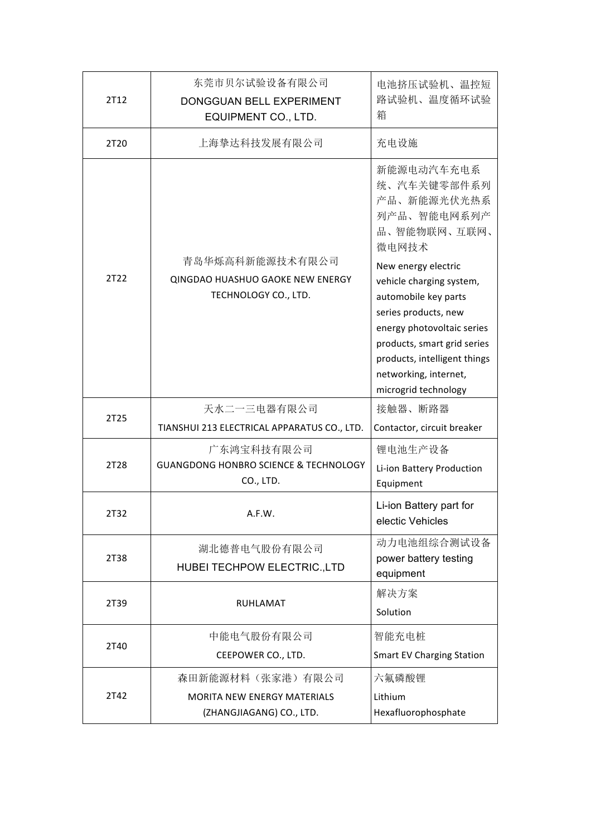| 2T12 | 东莞市贝尔试验设备有限公司<br>DONGGUAN BELL EXPERIMENT<br>EQUIPMENT CO., LTD.                                                           | 电池挤压试验机、温控短<br>路试验机、温度循环试验<br>箱                                                                                                                                                                                                               |
|------|----------------------------------------------------------------------------------------------------------------------------|-----------------------------------------------------------------------------------------------------------------------------------------------------------------------------------------------------------------------------------------------|
| 2T20 | 上海挚达科技发展有限公司                                                                                                               | 充电设施                                                                                                                                                                                                                                          |
|      | 青岛华烁高科新能源技术有限公司                                                                                                            | 新能源电动汽车充电系<br>统、汽车关键零部件系列<br>产品、新能源光伏光热系<br>列产品、智能电网系列产<br>品、智能物联网、互联网、<br>微电网技术                                                                                                                                                              |
| 2T22 | QINGDAO HUASHUO GAOKE NEW ENERGY<br>TECHNOLOGY CO., LTD.                                                                   | New energy electric<br>vehicle charging system,<br>automobile key parts<br>series products, new<br>energy photovoltaic series<br>products, smart grid series<br>products, intelligent things<br>networking, internet,<br>microgrid technology |
| 2T25 | 天水二一三电器有限公司                                                                                                                | 接触器、断路器                                                                                                                                                                                                                                       |
| 2T28 | TIANSHUI 213 ELECTRICAL APPARATUS CO., LTD.<br>广东鸿宝科技有限公司<br><b>GUANGDONG HONBRO SCIENCE &amp; TECHNOLOGY</b><br>CO., LTD. | Contactor, circuit breaker<br>锂电池生产设备<br>Li-ion Battery Production<br>Equipment                                                                                                                                                               |
| 2T32 | A.F.W.                                                                                                                     | Li-ion Battery part for<br>electic Vehicles                                                                                                                                                                                                   |
| 2T38 | 湖北德普电气股份有限公司<br>HUBEI TECHPOW ELECTRIC., LTD                                                                               | 动力电池组综合测试设备<br>power battery testing<br>equipment                                                                                                                                                                                             |
| 2T39 | <b>RUHLAMAT</b>                                                                                                            | 解决方案<br>Solution                                                                                                                                                                                                                              |
| 2T40 | 中能电气股份有限公司<br>CEEPOWER CO., LTD.                                                                                           | 智能充电桩<br><b>Smart EV Charging Station</b>                                                                                                                                                                                                     |
| 2T42 | 森田新能源材料(张家港)有限公司<br><b>MORITA NEW ENERGY MATERIALS</b><br>(ZHANGJIAGANG) CO., LTD.                                         | 六氟磷酸锂<br>Lithium<br>Hexafluorophosphate                                                                                                                                                                                                       |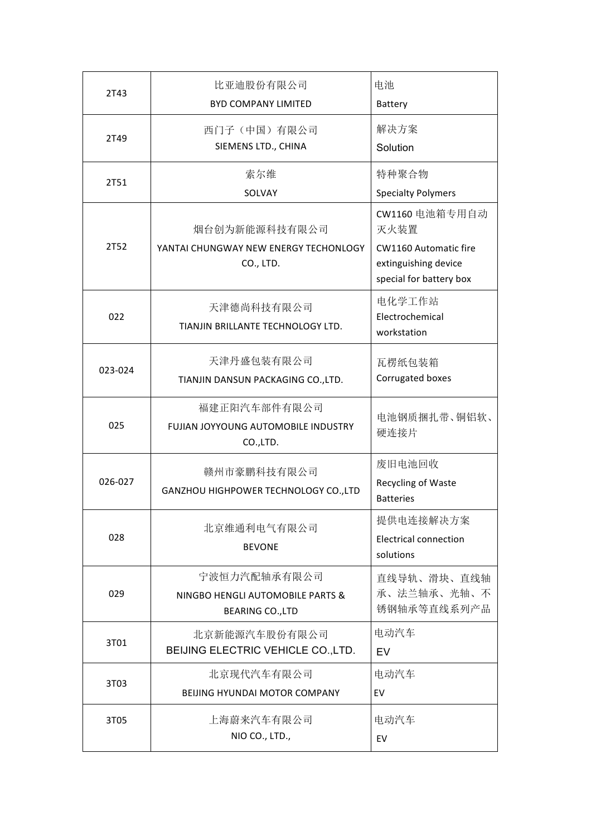| 2T43    | 比亚迪股份有限公司<br><b>BYD COMPANY LIMITED</b>                                     | 电池<br>Battery                                                                                             |
|---------|-----------------------------------------------------------------------------|-----------------------------------------------------------------------------------------------------------|
| 2T49    | 西门子(中国)有限公司<br>SIEMENS LTD., CHINA                                          | 解决方案<br>Solution                                                                                          |
| 2T51    | 索尔维<br>SOLVAY                                                               | 特种聚合物<br><b>Specialty Polymers</b>                                                                        |
| 2T52    | 烟台创为新能源科技有限公司<br>YANTAI CHUNGWAY NEW ENERGY TECHONLOGY<br>CO., LTD.         | CW1160 电池箱专用自动<br>灭火装置<br><b>CW1160 Automatic fire</b><br>extinguishing device<br>special for battery box |
| 022     | 天津德尚科技有限公司<br>TIANJIN BRILLANTE TECHNOLOGY LTD.                             | 电化学工作站<br>Electrochemical<br>workstation                                                                  |
| 023-024 | 天津丹盛包装有限公司<br>TIANJIN DANSUN PACKAGING CO., LTD.                            | 瓦楞纸包装箱<br>Corrugated boxes                                                                                |
| 025     | 福建正阳汽车部件有限公司<br>FUJIAN JOYYOUNG AUTOMOBILE INDUSTRY<br>CO.,LTD.             | 电池钢质捆扎带、铜铝软、<br>硬连接片                                                                                      |
| 026-027 | 赣州市豪鹏科技有限公司<br>GANZHOU HIGHPOWER TECHNOLOGY CO., LTD                        | 废旧电池回收<br>Recycling of Waste<br><b>Batteries</b>                                                          |
| 028     | 北京维通利电气有限公司<br><b>BEVONE</b>                                                | 提供电连接解决方案<br><b>Electrical connection</b><br>solutions                                                    |
| 029     | 宁波恒力汽配轴承有限公司<br>NINGBO HENGLI AUTOMOBILE PARTS &<br><b>BEARING CO., LTD</b> | 直线导轨、滑块、直线轴<br>承、法兰轴承、光轴、不<br>锈钢轴承等直线系列产品                                                                 |
| 3T01    | 北京新能源汽车股份有限公司<br>BEIJING ELECTRIC VEHICLE CO., LTD.                         | 电动汽车<br>EV                                                                                                |
| 3T03    | 北京现代汽车有限公司<br><b>BEIJING HYUNDAI MOTOR COMPANY</b>                          | 电动汽车<br>EV                                                                                                |
| 3T05    | 上海蔚来汽车有限公司<br>NIO CO., LTD.,                                                | 电动汽车<br>EV                                                                                                |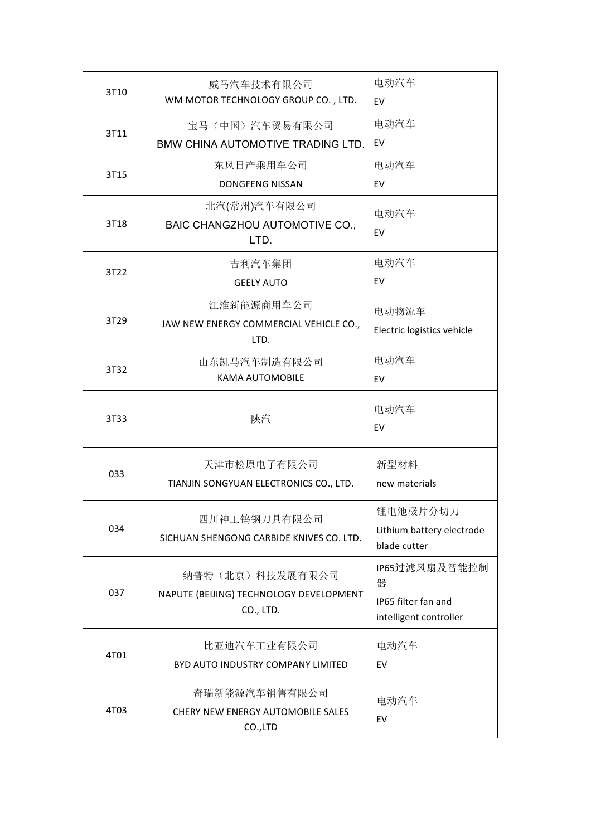| 3T10 | 威马汽车技术有限公司<br>WM MOTOR TECHNOLOGY GROUP CO., LTD.                       | 电动汽车<br>EV                                                          |
|------|-------------------------------------------------------------------------|---------------------------------------------------------------------|
| 3T11 | 宝马(中国)汽车贸易有限公司<br>BMW CHINA AUTOMOTIVE TRADING LTD.                     | 电动汽车<br>EV                                                          |
| 3T15 | 东风日产乘用车公司<br><b>DONGFENG NISSAN</b>                                     | 电动汽车<br>EV                                                          |
| 3T18 | 北汽(常州)汽车有限公司<br>BAIC CHANGZHOU AUTOMOTIVE CO.,<br>LTD.                  | 电动汽车<br>EV                                                          |
| 3T22 | 吉利汽车集团<br><b>GEELY AUTO</b>                                             | 电动汽车<br>EV                                                          |
| 3T29 | 江淮新能源商用车公司<br>JAW NEW ENERGY COMMERCIAL VEHICLE CO.,<br>LTD.            | 电动物流车<br>Electric logistics vehicle                                 |
| 3T32 | 山东凯马汽车制造有限公司<br><b>KAMA AUTOMOBILE</b>                                  | 电动汽车<br>EV                                                          |
| 3T33 | 陕汽                                                                      | 电动汽车<br>EV                                                          |
| 033  | 天津市松原电子有限公司<br>TIANJIN SONGYUAN ELECTRONICS CO., LTD.                   | 新型材料<br>new materials                                               |
| 034  | 四川神工钨钢刀具有限公司<br>SICHUAN SHENGONG CARBIDE KNIVES CO. LTD.                | 锂电池极片分切刀<br>Lithium battery electrode<br>blade cutter               |
| 037  | 纳普特(北京)科技发展有限公司<br>NAPUTE (BEIJING) TECHNOLOGY DEVELOPMENT<br>CO., LTD. | IP65过滤风扇及智能控制<br>器<br>IP65 filter fan and<br>intelligent controller |
| 4T01 | 比亚迪汽车工业有限公司<br>BYD AUTO INDUSTRY COMPANY LIMITED                        | 电动汽车<br>EV                                                          |
| 4T03 | 奇瑞新能源汽车销售有限公司<br>CHERY NEW ENERGY AUTOMOBILE SALES<br>CO.,LTD           | 电动汽车<br>EV                                                          |